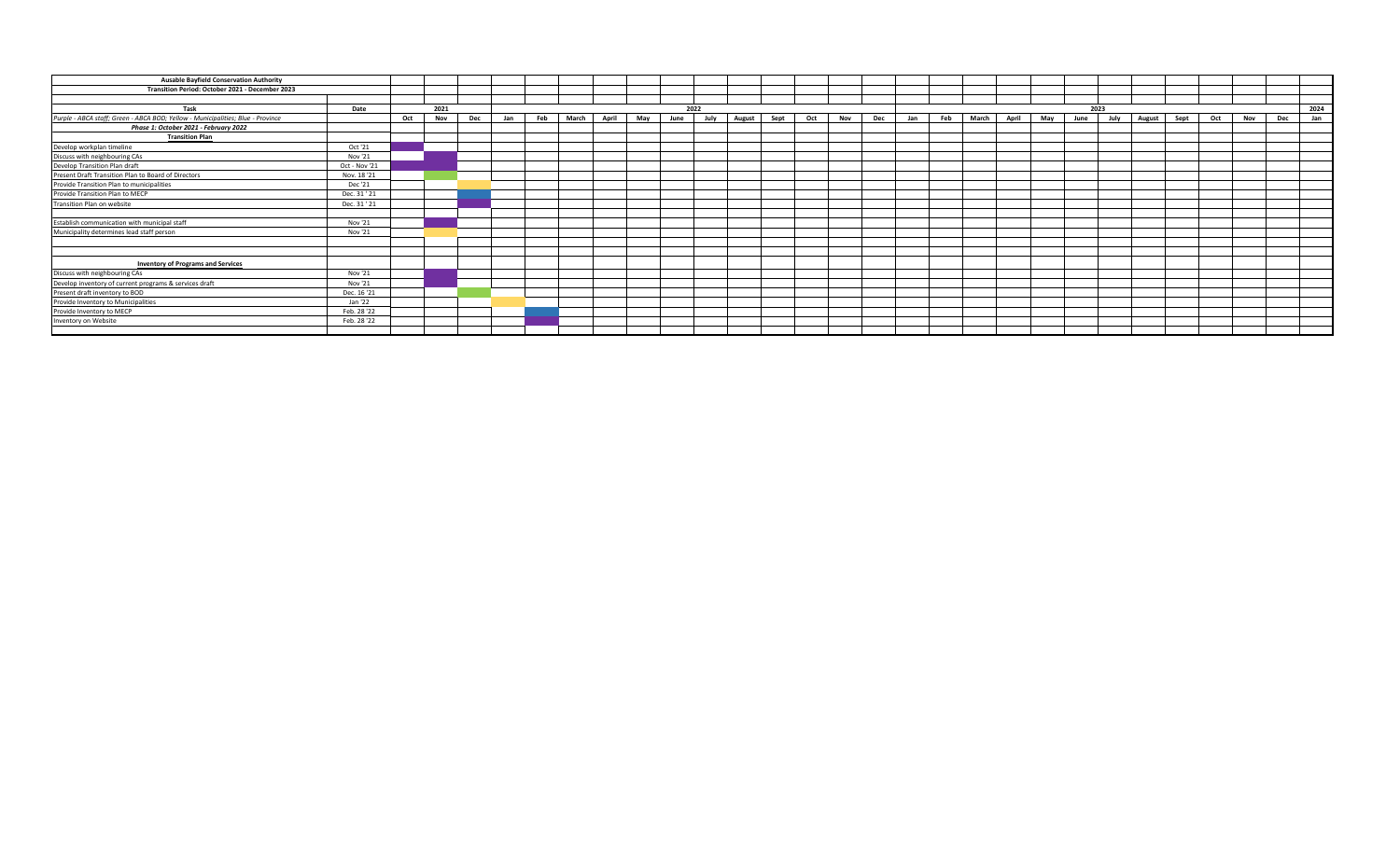| <b>Ausable Bayfield Conservation Authority</b>                                  |               |     |      |     |     |      |       |       |     |      |      |        |      |     |     |      |     |     |       |       |     |      |      |        |      |     |     |      |     |
|---------------------------------------------------------------------------------|---------------|-----|------|-----|-----|------|-------|-------|-----|------|------|--------|------|-----|-----|------|-----|-----|-------|-------|-----|------|------|--------|------|-----|-----|------|-----|
| Transition Period: October 2021 - December 2023                                 |               |     |      |     |     |      |       |       |     |      |      |        |      |     |     |      |     |     |       |       |     |      |      |        |      |     |     |      |     |
|                                                                                 |               |     |      |     |     |      |       |       |     |      |      |        |      |     |     |      |     |     |       |       |     |      |      |        |      |     |     |      |     |
| Task                                                                            | Date          |     | 2021 |     |     | 2022 |       |       |     |      |      |        |      |     |     | 2023 |     |     |       |       |     |      |      |        |      |     |     | 2024 |     |
| Purple - ABCA staff; Green - ABCA BOD; Yellow - Municipalities; Blue - Province |               | Oct | Nov  | Dec | Jan | Feb  | March | April | Mav | June | July | August | Sept | Oct | Nov | Dec  | Jan | Feb | March | April | Mav | June | July | August | Sept | Oct | Nov | Dec  | Jan |
| Phase 1: October 2021 - February 2022                                           |               |     |      |     |     |      |       |       |     |      |      |        |      |     |     |      |     |     |       |       |     |      |      |        |      |     |     |      |     |
| <b>Transition Plan</b>                                                          |               |     |      |     |     |      |       |       |     |      |      |        |      |     |     |      |     |     |       |       |     |      |      |        |      |     |     |      |     |
| Develop workplan timeline                                                       | Oct '21       |     |      |     |     |      |       |       |     |      |      |        |      |     |     |      |     |     |       |       |     |      |      |        |      |     |     |      |     |
| Discuss with neighbouring CAs                                                   | Nov '21       |     |      |     |     |      |       |       |     |      |      |        |      |     |     |      |     |     |       |       |     |      |      |        |      |     |     |      |     |
| Develop Transition Plan draft                                                   | Oct - Nov '21 |     |      |     |     |      |       |       |     |      |      |        |      |     |     |      |     |     |       |       |     |      |      |        |      |     |     |      |     |
| Present Draft Transition Plan to Board of Directors                             | Nov. 18'21    |     |      |     |     |      |       |       |     |      |      |        |      |     |     |      |     |     |       |       |     |      |      |        |      |     |     |      |     |
| Provide Transition Plan to municipalities                                       | Dec '21       |     |      |     |     |      |       |       |     |      |      |        |      |     |     |      |     |     |       |       |     |      |      |        |      |     |     |      |     |
| Provide Transition Plan to MECP                                                 | Dec. 31 ' 21  |     |      |     |     |      |       |       |     |      |      |        |      |     |     |      |     |     |       |       |     |      |      |        |      |     |     |      |     |
| Transition Plan on website                                                      | Dec. 31 ' 21  |     |      |     |     |      |       |       |     |      |      |        |      |     |     |      |     |     |       |       |     |      |      |        |      |     |     |      |     |
| Establish communication with municipal staff                                    | Nov '21       |     |      |     |     |      |       |       |     |      |      |        |      |     |     |      |     |     |       |       |     |      |      |        |      |     |     |      |     |
| Municipality determines lead staff person                                       | Nov '21       |     |      |     |     |      |       |       |     |      |      |        |      |     |     |      |     |     |       |       |     |      |      |        |      |     |     |      |     |
|                                                                                 |               |     |      |     |     |      |       |       |     |      |      |        |      |     |     |      |     |     |       |       |     |      |      |        |      |     |     |      |     |
| <b>Inventory of Programs and Services</b>                                       |               |     |      |     |     |      |       |       |     |      |      |        |      |     |     |      |     |     |       |       |     |      |      |        |      |     |     |      |     |
| Discuss with neighbouring CAs                                                   | Nov '21       |     |      |     |     |      |       |       |     |      |      |        |      |     |     |      |     |     |       |       |     |      |      |        |      |     |     |      |     |
| Develop inventory of current programs & services draft                          | Nov '21       |     |      |     |     |      |       |       |     |      |      |        |      |     |     |      |     |     |       |       |     |      |      |        |      |     |     |      |     |
| Present draft inventory to BOD                                                  | Dec. 16 '21   |     |      |     |     |      |       |       |     |      |      |        |      |     |     |      |     |     |       |       |     |      |      |        |      |     |     |      |     |
| Provide Inventory to Municipalities                                             | Jan '22       |     |      |     |     |      |       |       |     |      |      |        |      |     |     |      |     |     |       |       |     |      |      |        |      |     |     |      |     |
| Provide Inventory to MECP                                                       | Feb. 28 '22   |     |      |     |     |      |       |       |     |      |      |        |      |     |     |      |     |     |       |       |     |      |      |        |      |     |     |      |     |
| Inventory on Website                                                            | Feb. 28 '22   |     |      |     |     |      |       |       |     |      |      |        |      |     |     |      |     |     |       |       |     |      |      |        |      |     |     |      |     |
|                                                                                 |               |     |      |     |     |      |       |       |     |      |      |        |      |     |     |      |     |     |       |       |     |      |      |        |      |     |     |      |     |